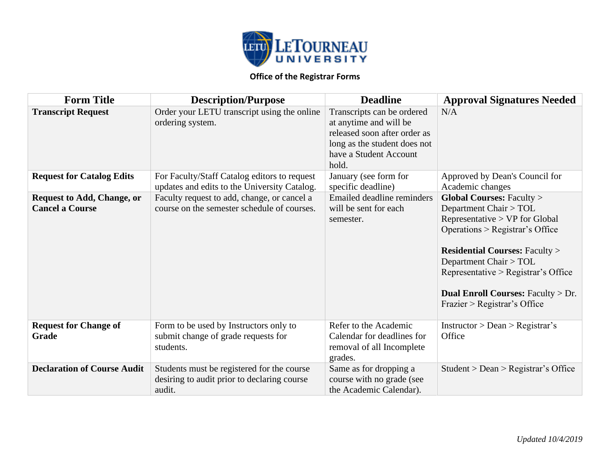

| <b>Form Title</b>                                           | <b>Description/Purpose</b>                                                                          | <b>Deadline</b>                                                                                                                                         | <b>Approval Signatures Needed</b>                                                                                                                                                                                                                                                                                               |
|-------------------------------------------------------------|-----------------------------------------------------------------------------------------------------|---------------------------------------------------------------------------------------------------------------------------------------------------------|---------------------------------------------------------------------------------------------------------------------------------------------------------------------------------------------------------------------------------------------------------------------------------------------------------------------------------|
| <b>Transcript Request</b>                                   | Order your LETU transcript using the online<br>ordering system.                                     | Transcripts can be ordered<br>at anytime and will be<br>released soon after order as<br>long as the student does not<br>have a Student Account<br>hold. | N/A                                                                                                                                                                                                                                                                                                                             |
| <b>Request for Catalog Edits</b>                            | For Faculty/Staff Catalog editors to request<br>updates and edits to the University Catalog.        | January (see form for<br>specific deadline)                                                                                                             | Approved by Dean's Council for<br>Academic changes                                                                                                                                                                                                                                                                              |
| <b>Request to Add, Change, or</b><br><b>Cancel a Course</b> | Faculty request to add, change, or cancel a<br>course on the semester schedule of courses.          | <b>Emailed deadline reminders</b><br>will be sent for each<br>semester.                                                                                 | <b>Global Courses: Faculty &gt;</b><br>Department Chair > TOL<br>Representative > VP for Global<br>Operations > Registrar's Office<br><b>Residential Courses: Faculty &gt;</b><br>Department Chair > TOL<br>Representative > Registrar's Office<br><b>Dual Enroll Courses: Faculty &gt; Dr.</b><br>Frazier > Registrar's Office |
| <b>Request for Change of</b><br>Grade                       | Form to be used by Instructors only to<br>submit change of grade requests for<br>students.          | Refer to the Academic<br>Calendar for deadlines for<br>removal of all Incomplete<br>grades.                                                             | Instruction > Dean > Registerar's<br>Office                                                                                                                                                                                                                                                                                     |
| <b>Declaration of Course Audit</b>                          | Students must be registered for the course<br>desiring to audit prior to declaring course<br>audit. | Same as for dropping a<br>course with no grade (see<br>the Academic Calendar).                                                                          | Student > Dean > Registerar's Office                                                                                                                                                                                                                                                                                            |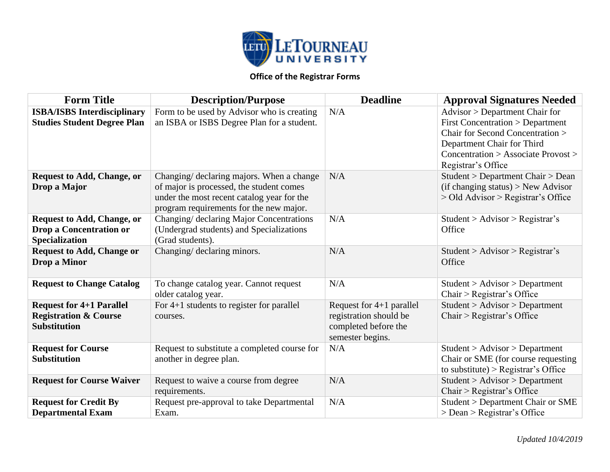

| <b>Form Title</b>                                                                            | <b>Description/Purpose</b>                                                                                                                                                     | <b>Deadline</b>                                                                                  | <b>Approval Signatures Needed</b>                                                                                                                                                                           |
|----------------------------------------------------------------------------------------------|--------------------------------------------------------------------------------------------------------------------------------------------------------------------------------|--------------------------------------------------------------------------------------------------|-------------------------------------------------------------------------------------------------------------------------------------------------------------------------------------------------------------|
| <b>ISBA/ISBS</b> Interdisciplinary<br><b>Studies Student Degree Plan</b>                     | Form to be used by Advisor who is creating<br>an ISBA or ISBS Degree Plan for a student.                                                                                       | N/A                                                                                              | Advisor > Department Chair for<br><b>First Concentration &gt; Department</b><br>Chair for Second Concentration ><br>Department Chair for Third<br>Concentration > Associate Provost ><br>Registrar's Office |
| <b>Request to Add, Change, or</b><br>Drop a Major                                            | Changing/ declaring majors. When a change<br>of major is processed, the student comes<br>under the most recent catalog year for the<br>program requirements for the new major. | N/A                                                                                              | Student > Department Chair > Dean<br>(if changing status) > New Advisor<br>> Old Advisor > Registrar's Office                                                                                               |
| <b>Request to Add, Change, or</b><br><b>Drop a Concentration or</b><br><b>Specialization</b> | Changing/ declaring Major Concentrations<br>(Undergrad students) and Specializations<br>(Grad students).                                                                       | N/A                                                                                              | Student > Advisor > Registrar's<br>Office                                                                                                                                                                   |
| <b>Request to Add, Change or</b><br>Drop a Minor                                             | Changing/ declaring minors.                                                                                                                                                    | N/A                                                                                              | Student > Advisor > Registrar's<br>Office                                                                                                                                                                   |
| <b>Request to Change Catalog</b>                                                             | To change catalog year. Cannot request<br>older catalog year.                                                                                                                  | N/A                                                                                              | Student > Advisor > Department<br>Chair > Registrar's Office                                                                                                                                                |
| <b>Request for 4+1 Parallel</b><br><b>Registration &amp; Course</b><br><b>Substitution</b>   | For 4+1 students to register for parallel<br>courses.                                                                                                                          | Request for $4+1$ parallel<br>registration should be<br>completed before the<br>semester begins. | Student > Advisor > Department<br>Chair > Registrar's Office                                                                                                                                                |
| <b>Request for Course</b><br><b>Substitution</b>                                             | Request to substitute a completed course for<br>another in degree plan.                                                                                                        | N/A                                                                                              | Student > Advisor > Department<br>Chair or SME (for course requesting<br>to substitute) > Registrar's Office                                                                                                |
| <b>Request for Course Waiver</b>                                                             | Request to waive a course from degree<br>requirements.                                                                                                                         | N/A                                                                                              | Student > Advisor > Department<br>Chair > Registrar's Office                                                                                                                                                |
| <b>Request for Credit By</b><br><b>Departmental Exam</b>                                     | Request pre-approval to take Departmental<br>Exam.                                                                                                                             | N/A                                                                                              | <b>Student &gt; Department Chair or SME</b><br>> Dean > Registrar's Office                                                                                                                                  |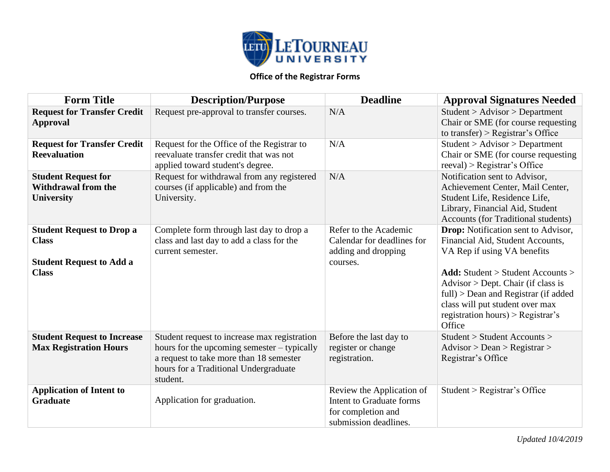

| <b>Form Title</b>                                                                                   | <b>Description/Purpose</b>                                                                                                                                                                  | <b>Deadline</b>                                                                                      | <b>Approval Signatures Needed</b>                                                                                                                                                                                                                                                                                                |
|-----------------------------------------------------------------------------------------------------|---------------------------------------------------------------------------------------------------------------------------------------------------------------------------------------------|------------------------------------------------------------------------------------------------------|----------------------------------------------------------------------------------------------------------------------------------------------------------------------------------------------------------------------------------------------------------------------------------------------------------------------------------|
| <b>Request for Transfer Credit</b><br><b>Approval</b>                                               | Request pre-approval to transfer courses.                                                                                                                                                   | N/A                                                                                                  | Student > Advisor > Department<br>Chair or SME (for course requesting<br>to transfer) > Registrar's Office                                                                                                                                                                                                                       |
| <b>Request for Transfer Credit</b><br><b>Reevaluation</b>                                           | Request for the Office of the Registrar to<br>reevaluate transfer credit that was not<br>applied toward student's degree.                                                                   | N/A                                                                                                  | Student > Advisor > Department<br>Chair or SME (for course requesting<br>$recval$ ) > Registrar's Office                                                                                                                                                                                                                         |
| <b>Student Request for</b><br><b>Withdrawal from the</b><br>University                              | Request for withdrawal from any registered<br>courses (if applicable) and from the<br>University.                                                                                           | N/A                                                                                                  | Notification sent to Advisor,<br>Achievement Center, Mail Center,<br>Student Life, Residence Life,<br>Library, Financial Aid, Student<br><b>Accounts (for Traditional students)</b>                                                                                                                                              |
| <b>Student Request to Drop a</b><br><b>Class</b><br><b>Student Request to Add a</b><br><b>Class</b> | Complete form through last day to drop a<br>class and last day to add a class for the<br>current semester.                                                                                  | Refer to the Academic<br>Calendar for deadlines for<br>adding and dropping<br>courses.               | <b>Drop:</b> Notification sent to Advisor,<br>Financial Aid, Student Accounts,<br>VA Rep if using VA benefits<br><b>Add:</b> Student $>$ Student Accounts $>$<br>$Advisor > Dept. Chair$ (if class is<br>$full$ > Dean and Registrar (if added<br>class will put student over max<br>registration hours) > Registrar's<br>Office |
| <b>Student Request to Increase</b><br><b>Max Registration Hours</b>                                 | Student request to increase max registration<br>hours for the upcoming semester – typically<br>a request to take more than 18 semester<br>hours for a Traditional Undergraduate<br>student. | Before the last day to<br>register or change<br>registration.                                        | Student > Student Accounts ><br>Advisor > Dean > Registerar ><br>Registrar's Office                                                                                                                                                                                                                                              |
| <b>Application of Intent to</b><br><b>Graduate</b>                                                  | Application for graduation.                                                                                                                                                                 | Review the Application of<br>Intent to Graduate forms<br>for completion and<br>submission deadlines. | Student > Registrar's Office                                                                                                                                                                                                                                                                                                     |